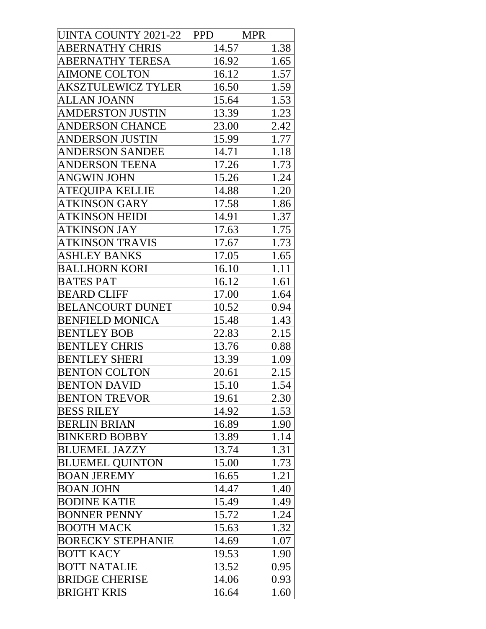| UINTA COUNTY 2021-22      | <b>PPD</b> | <b>MPR</b> |
|---------------------------|------------|------------|
| <b>ABERNATHY CHRIS</b>    | 14.57      | 1.38       |
| ABERNATHY TERESA          | 16.92      | 1.65       |
| <b>AIMONE COLTON</b>      | 16.12      | 1.57       |
| <b>AKSZTULEWICZ TYLER</b> | 16.50      | 1.59       |
| <b>ALLAN JOANN</b>        | 15.64      | 1.53       |
| <b>AMDERSTON JUSTIN</b>   | 13.39      | 1.23       |
| <b>ANDERSON CHANCE</b>    | 23.00      | 2.42       |
| <b>ANDERSON JUSTIN</b>    | 15.99      | 1.77       |
| ANDERSON SANDEE           | 14.71      | 1.18       |
| <b>ANDERSON TEENA</b>     | 17.26      | 1.73       |
| <b>ANGWIN JOHN</b>        | 15.26      | 1.24       |
| ATEQUIPA KELLIE           | 14.88      | 1.20       |
| <b>ATKINSON GARY</b>      | 17.58      | 1.86       |
| <b>ATKINSON HEIDI</b>     | 14.91      | 1.37       |
| <b>ATKINSON JAY</b>       | 17.63      | 1.75       |
| <b>ATKINSON TRAVIS</b>    | 17.67      | 1.73       |
| <b>ASHLEY BANKS</b>       | 17.05      | 1.65       |
| <b>BALLHORN KORI</b>      | 16.10      | 1.11       |
| <b>BATES PAT</b>          | 16.12      | 1.61       |
| <b>BEARD CLIFF</b>        | 17.00      | 1.64       |
| <b>BELANCOURT DUNET</b>   | 10.52      | 0.94       |
| <b>BENFIELD MONICA</b>    | 15.48      | 1.43       |
| <b>BENTLEY BOB</b>        | 22.83      | 2.15       |
| <b>BENTLEY CHRIS</b>      | 13.76      | 0.88       |
| <b>BENTLEY SHERI</b>      | 13.39      | 1.09       |
| <b>BENTON COLTON</b>      | 20.61      | 2.15       |
| <b>BENTON DAVID</b>       | 15.10      | 1.54       |
| <b>BENTON TREVOR</b>      | 19.61      | 2.30       |
| <b>BESS RILEY</b>         | 14.92      | 1.53       |
| <b>BERLIN BRIAN</b>       | 16.89      | 1.90       |
| <b>BINKERD BOBBY</b>      | 13.89      | 1.14       |
| <b>BLUEMEL JAZZY</b>      | 13.74      | 1.31       |
| <b>BLUEMEL OUINTON</b>    | 15.00      | 1.73       |
| <b>BOAN JEREMY</b>        | 16.65      | 1.21       |
| <b>BOAN JOHN</b>          | 14.47      | 1.40       |
| <b>BODINE KATIE</b>       | 15.49      | 1.49       |
| <b>BONNER PENNY</b>       | 15.72      | 1.24       |
| <b>BOOTH MACK</b>         | 15.63      | 1.32       |
| <b>BORECKY STEPHANIE</b>  | 14.69      | 1.07       |
| <b>BOTT KACY</b>          | 19.53      | 1.90       |
| <b>BOTT NATALIE</b>       | 13.52      | 0.95       |
| <b>BRIDGE CHERISE</b>     | 14.06      | 0.93       |
| <b>BRIGHT KRIS</b>        | 16.64      | 1.60       |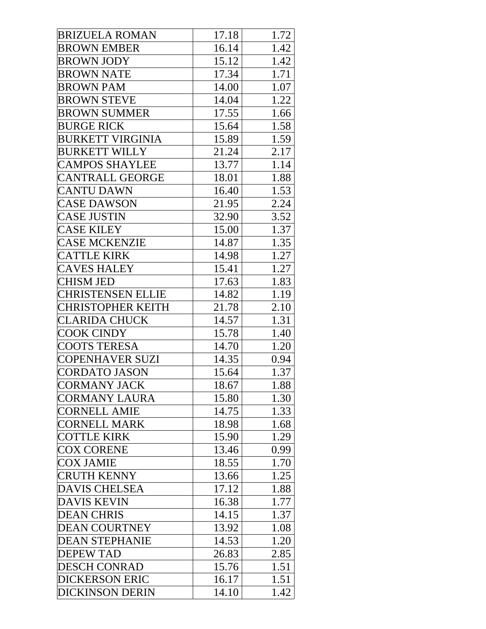| <b>BRIZUELA ROMAN</b>    | 17.18 | 1.72 |
|--------------------------|-------|------|
| <b>BROWN EMBER</b>       | 16.14 | 1.42 |
| <b>BROWN JODY</b>        | 15.12 | 1.42 |
| <b>BROWN NATE</b>        | 17.34 | 1.71 |
| <b>BROWN PAM</b>         | 14.00 | 1.07 |
| <b>BROWN STEVE</b>       | 14.04 | 1.22 |
| <b>BROWN SUMMER</b>      | 17.55 | 1.66 |
| <b>BURGE RICK</b>        | 15.64 | 1.58 |
| <b>BURKETT VIRGINIA</b>  | 15.89 | 1.59 |
| <b>BURKETT WILLY</b>     | 21.24 | 2.17 |
| <b>CAMPOS SHAYLEE</b>    | 13.77 | 1.14 |
| <b>CANTRALL GEORGE</b>   | 18.01 | 1.88 |
| <b>CANTU DAWN</b>        | 16.40 | 1.53 |
| <b>CASE DAWSON</b>       | 21.95 | 2.24 |
| <b>CASE JUSTIN</b>       | 32.90 | 3.52 |
| <b>CASE KILEY</b>        | 15.00 | 1.37 |
| <b>CASE MCKENZIE</b>     | 14.87 | 1.35 |
| <b>CATTLE KIRK</b>       | 14.98 | 1.27 |
| <b>CAVES HALEY</b>       | 15.41 | 1.27 |
| <b>CHISM JED</b>         | 17.63 | 1.83 |
| <b>CHRISTENSEN ELLIE</b> | 14.82 | 1.19 |
| <b>CHRISTOPHER KEITH</b> | 21.78 | 2.10 |
| <b>CLARIDA CHUCK</b>     | 14.57 | 1.31 |
| <b>COOK CINDY</b>        | 15.78 | 1.40 |
| <b>COOTS TERESA</b>      | 14.70 | 1.20 |
| <b>COPENHAVER SUZI</b>   | 14.35 | 0.94 |
| <b>CORDATO JASON</b>     | 15.64 | 1.37 |
| <b>CORMANY JACK</b>      | 18.67 | 1.88 |
| CORMANY LAURA            | 15.80 | 1.30 |
| <b>CORNELL AMIE</b>      | 14.75 | 1.33 |
| <b>CORNELL MARK</b>      | 18.98 | 1.68 |
| <b>COTTLE KIRK</b>       | 15.90 | 1.29 |
| <b>COX CORENE</b>        | 13.46 | 0.99 |
| <b>COX JAMIE</b>         | 18.55 | 1.70 |
| <b>CRUTH KENNY</b>       | 13.66 | 1.25 |
| <b>DAVIS CHELSEA</b>     | 17.12 | 1.88 |
| <b>DAVIS KEVIN</b>       | 16.38 | 1.77 |
| <b>DEAN CHRIS</b>        | 14.15 | 1.37 |
| <b>DEAN COURTNEY</b>     | 13.92 | 1.08 |
| <b>DEAN STEPHANIE</b>    | 14.53 | 1.20 |
| <b>DEPEW TAD</b>         | 26.83 | 2.85 |
| <b>DESCH CONRAD</b>      | 15.76 | 1.51 |
| <b>DICKERSON ERIC</b>    | 16.17 | 1.51 |
| <b>DICKINSON DERIN</b>   | 14.10 | 1.42 |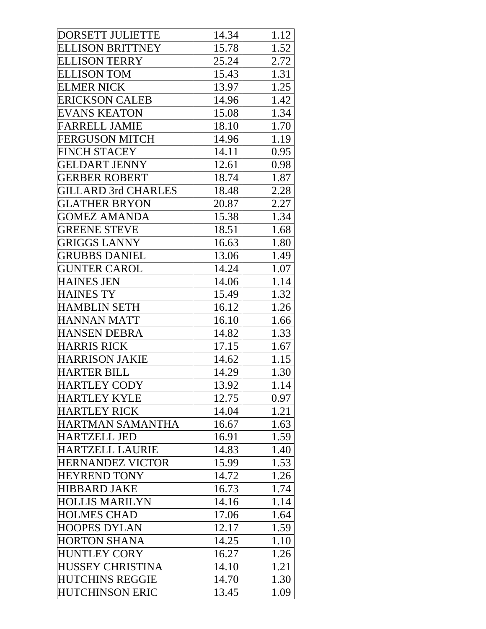| <b>DORSETT JULIETTE</b>    | 14.34 | 1.12 |
|----------------------------|-------|------|
| <b>ELLISON BRITTNEY</b>    | 15.78 | 1.52 |
| <b>ELLISON TERRY</b>       | 25.24 | 2.72 |
| <b>ELLISON TOM</b>         | 15.43 | 1.31 |
| <b>ELMER NICK</b>          | 13.97 | 1.25 |
| <b>ERICKSON CALEB</b>      | 14.96 | 1.42 |
| <b>EVANS KEATON</b>        | 15.08 | 1.34 |
| <b>FARRELL JAMIE</b>       | 18.10 | 1.70 |
| <b>FERGUSON MITCH</b>      | 14.96 | 1.19 |
| <b>FINCH STACEY</b>        | 14.11 | 0.95 |
| <b>GELDART JENNY</b>       | 12.61 | 0.98 |
| <b>GERBER ROBERT</b>       | 18.74 | 1.87 |
| <b>GILLARD 3rd CHARLES</b> | 18.48 | 2.28 |
| GLATHER BRYON              | 20.87 | 2.27 |
| <b>GOMEZ AMANDA</b>        | 15.38 | 1.34 |
| <b>GREENE STEVE</b>        | 18.51 | 1.68 |
| <b>GRIGGS LANNY</b>        | 16.63 | 1.80 |
| <b>GRUBBS DANIEL</b>       | 13.06 | 1.49 |
| <b>GUNTER CAROL</b>        | 14.24 | 1.07 |
| <b>HAINES JEN</b>          | 14.06 | 1.14 |
| <b>HAINES TY</b>           | 15.49 | 1.32 |
| <b>HAMBLIN SETH</b>        | 16.12 | 1.26 |
| <b>HANNAN MATT</b>         | 16.10 | 1.66 |
| <b>HANSEN DEBRA</b>        | 14.82 | 1.33 |
| <b>HARRIS RICK</b>         | 17.15 | 1.67 |
| <b>HARRISON JAKIE</b>      | 14.62 | 1.15 |
| <b>HARTER BILL</b>         | 14.29 | 1.30 |
| HARTLEY CODY               | 13.92 | 1.14 |
| HARTLEY KYLE               | 12.75 | 0.97 |
| <b>HARTLEY RICK</b>        | 14.04 | 1.21 |
| HARTMAN SAMANTHA           | 16.67 | 1.63 |
| HARTZELL JED               | 16.91 | 1.59 |
| <b>HARTZELL LAURIE</b>     | 14.83 | 1.40 |
| <b>HERNANDEZ VICTOR</b>    | 15.99 | 1.53 |
| <b>HEYREND TONY</b>        | 14.72 | 1.26 |
| <b>HIBBARD JAKE</b>        | 16.73 | 1.74 |
| <b>HOLLIS MARILYN</b>      | 14.16 | 1.14 |
| <b>HOLMES CHAD</b>         | 17.06 | 1.64 |
| HOOPES DYLAN               | 12.17 | 1.59 |
| <b>HORTON SHANA</b>        | 14.25 | 1.10 |
| <b>HUNTLEY CORY</b>        | 16.27 | 1.26 |
| HUSSEY CHRISTINA           | 14.10 | 1.21 |
| <b>HUTCHINS REGGIE</b>     | 14.70 | 1.30 |
| <b>HUTCHINSON ERIC</b>     | 13.45 | 1.09 |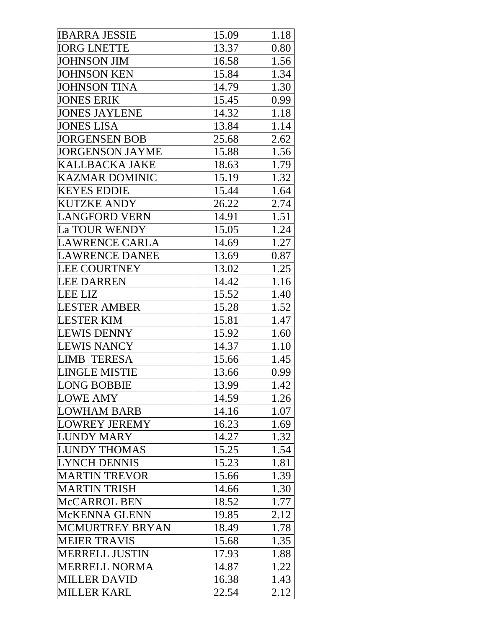| <b>IBARRA JESSIE</b>   | 15.09 | 1.18 |
|------------------------|-------|------|
| <b>IORG LNETTE</b>     | 13.37 | 0.80 |
| <b>JOHNSON JIM</b>     | 16.58 | 1.56 |
| <b>JOHNSON KEN</b>     | 15.84 | 1.34 |
| <b>JOHNSON TINA</b>    | 14.79 | 1.30 |
| <b>JONES ERIK</b>      | 15.45 | 0.99 |
| <b>JONES JAYLENE</b>   | 14.32 | 1.18 |
| <b>JONES LISA</b>      | 13.84 | 1.14 |
| <b>JORGENSEN BOB</b>   | 25.68 | 2.62 |
| <b>JORGENSON JAYME</b> | 15.88 | 1.56 |
| <b>KALLBACKA JAKE</b>  | 18.63 | 1.79 |
| <b>KAZMAR DOMINIC</b>  | 15.19 | 1.32 |
| <b>KEYES EDDIE</b>     | 15.44 | 1.64 |
| KUTZKE ANDY            | 26.22 | 2.74 |
| <b>LANGFORD VERN</b>   | 14.91 | 1.51 |
| La TOUR WENDY          | 15.05 | 1.24 |
| LAWRENCE CARLA         | 14.69 | 1.27 |
| <b>LAWRENCE DANEE</b>  | 13.69 | 0.87 |
| <b>LEE COURTNEY</b>    | 13.02 | 1.25 |
| <b>LEE DARREN</b>      | 14.42 | 1.16 |
| <b>LEE LIZ</b>         | 15.52 | 1.40 |
| <b>LESTER AMBER</b>    | 15.28 | 1.52 |
| <b>LESTER KIM</b>      | 15.81 | 1.47 |
| <b>LEWIS DENNY</b>     | 15.92 | 1.60 |
| <b>LEWIS NANCY</b>     | 14.37 | 1.10 |
| <b>LIMB TERESA</b>     | 15.66 | 1.45 |
| LINGLE MISTIE          | 13.66 | 0.99 |
| <b>LONG BOBBIE</b>     | 13.99 | 1.42 |
| <b>LOWE AMY</b>        | 14.59 | 1.26 |
| <b>LOWHAM BARB</b>     | 14.16 | 1.07 |
| <b>LOWREY JEREMY</b>   | 16.23 | 1.69 |
| <b>LUNDY MARY</b>      | 14.27 | 1.32 |
| <b>LUNDY THOMAS</b>    | 15.25 | 1.54 |
| <b>LYNCH DENNIS</b>    | 15.23 | 1.81 |
| <b>MARTIN TREVOR</b>   | 15.66 | 1.39 |
| <b>MARTIN TRISH</b>    | 14.66 | 1.30 |
| McCARROL BEN           | 18.52 | 1.77 |
| McKENNA GLENN          | 19.85 | 2.12 |
| <b>MCMURTREY BRYAN</b> | 18.49 | 1.78 |
| <b>MEIER TRAVIS</b>    | 15.68 | 1.35 |
| <b>MERRELL JUSTIN</b>  | 17.93 | 1.88 |
| MERRELL NORMA          | 14.87 | 1.22 |
| <b>MILLER DAVID</b>    | 16.38 | 1.43 |
| <b>MILLER KARL</b>     | 22.54 | 2.12 |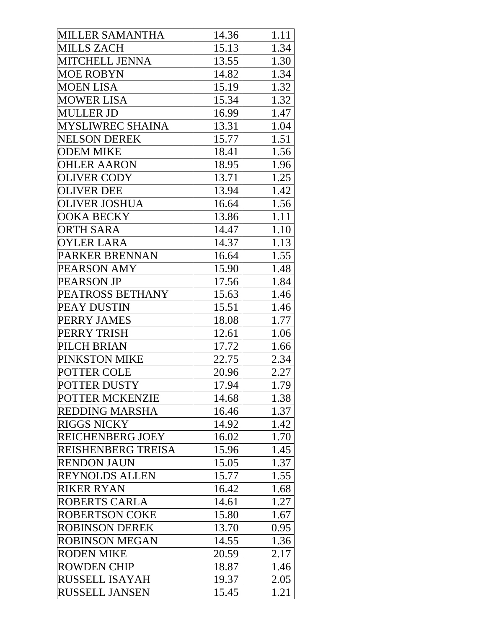| MILLER SAMANTHA           | 14.36 | 1.11 |
|---------------------------|-------|------|
| MILLS ZACH                | 15.13 | 1.34 |
| MITCHELL JENNA            | 13.55 | 1.30 |
| MOE ROBYN                 | 14.82 | 1.34 |
| MOEN LISA                 | 15.19 | 1.32 |
| MOWER LISA                | 15.34 | 1.32 |
| MULLER JD                 | 16.99 | 1.47 |
| <b>MYSLIWREC SHAINA</b>   | 13.31 | 1.04 |
| <b>NELSON DEREK</b>       | 15.77 | 1.51 |
| <b>ODEM MIKE</b>          | 18.41 | 1.56 |
| <b>OHLER AARON</b>        | 18.95 | 1.96 |
| <b>OLIVER CODY</b>        | 13.71 | 1.25 |
| <b>OLIVER DEE</b>         | 13.94 | 1.42 |
| <b>OLIVER JOSHUA</b>      | 16.64 | 1.56 |
| <b>OOKA BECKY</b>         | 13.86 | 1.11 |
| <b>ORTH SARA</b>          | 14.47 | 1.10 |
| <b>OYLER LARA</b>         | 14.37 | 1.13 |
| PARKER BRENNAN            | 16.64 | 1.55 |
| PEARSON AMY               | 15.90 | 1.48 |
| PEARSON JP                | 17.56 | 1.84 |
| PEATROSS BETHANY          | 15.63 | 1.46 |
| PEAY DUSTIN               | 15.51 | 1.46 |
| PERRY JAMES               | 18.08 | 1.77 |
| PERRY TRISH               | 12.61 | 1.06 |
| PILCH BRIAN               | 17.72 | 1.66 |
| PINKSTON MIKE             | 22.75 | 2.34 |
| POTTER COLE               | 20.96 | 2.27 |
| POTTER DUSTY              | 17.94 | 1.79 |
| POTTER MCKENZIE           | 14.68 | 1.38 |
| <b>REDDING MARSHA</b>     | 16.46 | 1.37 |
| RIGGS NICKY               | 14.92 | 1.42 |
| <b>REICHENBERG JOEY</b>   | 16.02 | 1.70 |
| <b>REISHENBERG TREISA</b> | 15.96 | 1.45 |
| <b>RENDON JAUN</b>        | 15.05 | 1.37 |
| REYNOLDS ALLEN            | 15.77 | 1.55 |
| <b>RIKER RYAN</b>         | 16.42 | 1.68 |
| ROBERTS CARLA             | 14.61 | 1.27 |
| ROBERTSON COKE            | 15.80 | 1.67 |
| ROBINSON DEREK            | 13.70 | 0.95 |
| <b>ROBINSON MEGAN</b>     | 14.55 | 1.36 |
| <b>RODEN MIKE</b>         | 20.59 | 2.17 |
| ROWDEN CHIP               | 18.87 | 1.46 |
| <b>RUSSELL ISAYAH</b>     | 19.37 | 2.05 |
| <b>RUSSELL JANSEN</b>     | 15.45 | 1.21 |
|                           |       |      |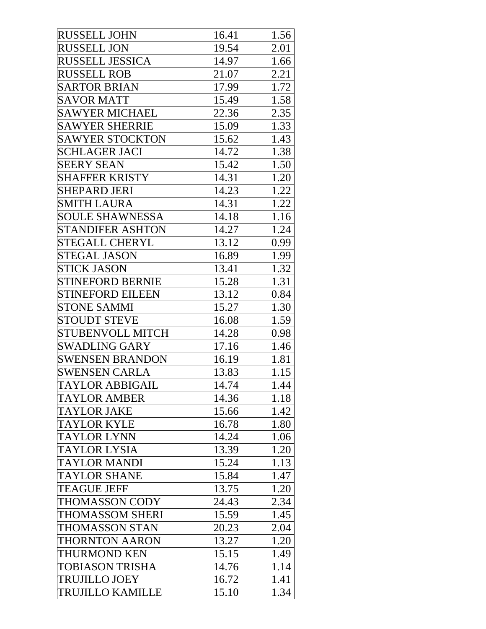| RUSSELL JOHN            | 16.41 | 1.56 |
|-------------------------|-------|------|
| <b>RUSSELL JON</b>      | 19.54 | 2.01 |
| <b>RUSSELL JESSICA</b>  | 14.97 | 1.66 |
| <b>RUSSELL ROB</b>      | 21.07 | 2.21 |
| <b>SARTOR BRIAN</b>     | 17.99 | 1.72 |
| <b>SAVOR MATT</b>       | 15.49 | 1.58 |
| <b>SAWYER MICHAEL</b>   | 22.36 | 2.35 |
| <b>SAWYER SHERRIE</b>   | 15.09 | 1.33 |
| <b>SAWYER STOCKTON</b>  | 15.62 | 1.43 |
| <b>SCHLAGER JACI</b>    | 14.72 | 1.38 |
| <b>SEERY SEAN</b>       | 15.42 | 1.50 |
| <b>SHAFFER KRISTY</b>   | 14.31 | 1.20 |
| SHEPARD JERI            | 14.23 | 1.22 |
| <b>SMITH LAURA</b>      | 14.31 | 1.22 |
| <b>SOULE SHAWNESSA</b>  | 14.18 | 1.16 |
| <b>STANDIFER ASHTON</b> | 14.27 | 1.24 |
| <b>STEGALL CHERYL</b>   | 13.12 | 0.99 |
| <b>STEGAL JASON</b>     | 16.89 | 1.99 |
| <b>STICK JASON</b>      | 13.41 | 1.32 |
| <b>STINEFORD BERNIE</b> | 15.28 | 1.31 |
| <b>STINEFORD EILEEN</b> | 13.12 | 0.84 |
| <b>STONE SAMMI</b>      | 15.27 | 1.30 |
| <b>STOUDT STEVE</b>     | 16.08 | 1.59 |
| <b>STUBENVOLL MITCH</b> | 14.28 | 0.98 |
| <b>SWADLING GARY</b>    | 17.16 | 1.46 |
| <b>SWENSEN BRANDON</b>  | 16.19 | 1.81 |
| <b>SWENSEN CARLA</b>    | 13.83 | 1.15 |
| TAYLOR ABBIGAIL         | 14.74 | 1.44 |
| <b>TAYLOR AMBER</b>     | 14.36 | 1.18 |
| TAYLOR JAKE             | 15.66 | 1.42 |
| <b>TAYLOR KYLE</b>      | 16.78 | 1.80 |
| TAYLOR LYNN             | 14.24 | 1.06 |
| TAYLOR LYSIA            | 13.39 | 1.20 |
| TAYLOR MANDI            | 15.24 | 1.13 |
| <b>TAYLOR SHANE</b>     | 15.84 | 1.47 |
| <b>TEAGUE JEFF</b>      | 13.75 | 1.20 |
| THOMASSON CODY          | 24.43 | 2.34 |
| THOMASSOM SHERI         | 15.59 | 1.45 |
| THOMASSON STAN          | 20.23 | 2.04 |
| <b>THORNTON AARON</b>   | 13.27 | 1.20 |
| <b>THURMOND KEN</b>     | 15.15 | 1.49 |
| TOBIASON TRISHA         | 14.76 | 1.14 |
| TRUJILLO JOEY           | 16.72 | 1.41 |
| <b>TRUJILLO KAMILLE</b> | 15.10 | 1.34 |